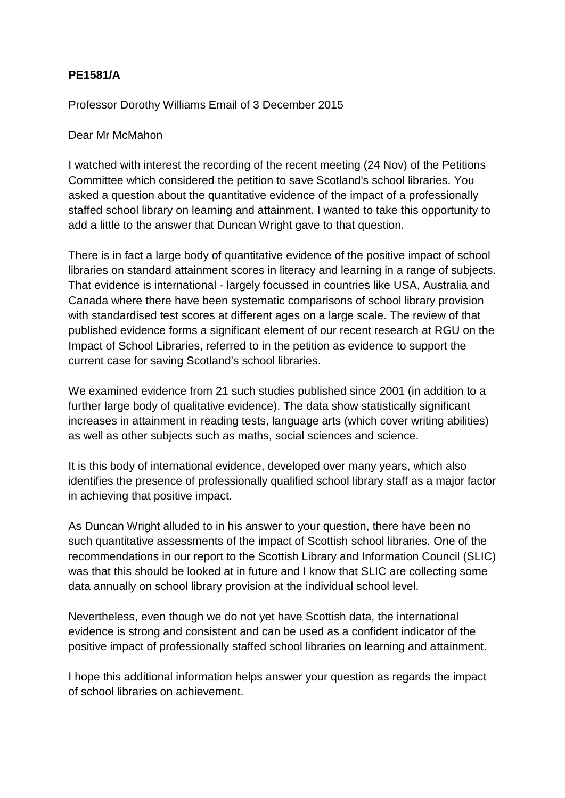## **PE1581/A**

Professor Dorothy Williams Email of 3 December 2015

## Dear Mr McMahon

I watched with interest the recording of the recent meeting (24 Nov) of the Petitions Committee which considered the petition to save Scotland's school libraries. You asked a question about the quantitative evidence of the impact of a professionally staffed school library on learning and attainment. I wanted to take this opportunity to add a little to the answer that Duncan Wright gave to that question.

There is in fact a large body of quantitative evidence of the positive impact of school libraries on standard attainment scores in literacy and learning in a range of subjects. That evidence is international - largely focussed in countries like USA, Australia and Canada where there have been systematic comparisons of school library provision with standardised test scores at different ages on a large scale. The review of that published evidence forms a significant element of our recent research at RGU on the Impact of School Libraries, referred to in the petition as evidence to support the current case for saving Scotland's school libraries.

We examined evidence from 21 such studies published since 2001 (in addition to a further large body of qualitative evidence). The data show statistically significant increases in attainment in reading tests, language arts (which cover writing abilities) as well as other subjects such as maths, social sciences and science.

It is this body of international evidence, developed over many years, which also identifies the presence of professionally qualified school library staff as a major factor in achieving that positive impact.

As Duncan Wright alluded to in his answer to your question, there have been no such quantitative assessments of the impact of Scottish school libraries. One of the recommendations in our report to the Scottish Library and Information Council (SLIC) was that this should be looked at in future and I know that SLIC are collecting some data annually on school library provision at the individual school level.

Nevertheless, even though we do not yet have Scottish data, the international evidence is strong and consistent and can be used as a confident indicator of the positive impact of professionally staffed school libraries on learning and attainment.

I hope this additional information helps answer your question as regards the impact of school libraries on achievement.